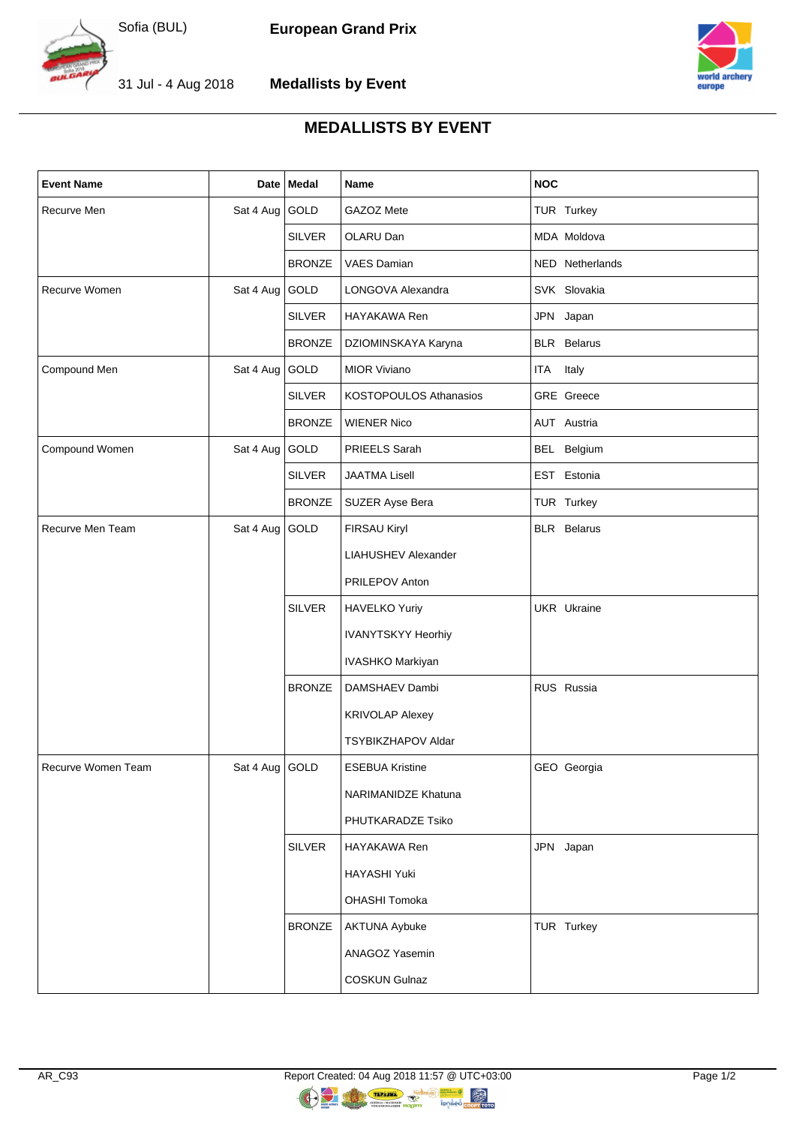

**European Grand Prix**



31 Jul - 4 Aug 2018





## **MEDALLISTS BY EVENT**

| <b>Event Name</b>  |                  | Date   Medal  | Name                       | <b>NOC</b>         |
|--------------------|------------------|---------------|----------------------------|--------------------|
| Recurve Men        | Sat 4 Aug GOLD   |               | GAZOZ Mete                 | TUR Turkey         |
|                    |                  | <b>SILVER</b> | OLARU Dan                  | MDA Moldova        |
|                    |                  | <b>BRONZE</b> | VAES Damian                | NED Netherlands    |
| Recurve Women      | Sat 4 Aug GOLD   |               | LONGOVA Alexandra          | SVK Slovakia       |
|                    |                  | <b>SILVER</b> | HAYAKAWA Ren               | JPN Japan          |
|                    |                  | <b>BRONZE</b> | DZIOMINSKAYA Karyna        | <b>BLR</b> Belarus |
| Compound Men       | Sat 4 Aug GOLD   |               | <b>MIOR Viviano</b>        | ITA Italy          |
|                    |                  | <b>SILVER</b> | KOSTOPOULOS Athanasios     | GRE Greece         |
|                    |                  | <b>BRONZE</b> | <b>WIENER Nico</b>         | AUT Austria        |
| Compound Women     | Sat 4 Aug GOLD   |               | PRIEELS Sarah              | BEL Belgium        |
|                    |                  | <b>SILVER</b> | <b>JAATMA Lisell</b>       | EST Estonia        |
|                    |                  | <b>BRONZE</b> | SUZER Ayse Bera            | TUR Turkey         |
| Recurve Men Team   | Sat 4 Aug GOLD   |               | FIRSAU Kiryl               | <b>BLR</b> Belarus |
|                    |                  |               | <b>LIAHUSHEV Alexander</b> |                    |
|                    |                  |               | PRILEPOV Anton             |                    |
|                    |                  | <b>SILVER</b> | <b>HAVELKO Yuriy</b>       | UKR Ukraine        |
|                    |                  |               | <b>IVANYTSKYY Heorhiy</b>  |                    |
|                    |                  |               | IVASHKO Markiyan           |                    |
|                    |                  | <b>BRONZE</b> | DAMSHAEV Dambi             | RUS Russia         |
|                    |                  |               | <b>KRIVOLAP Alexey</b>     |                    |
|                    |                  |               | <b>TSYBIKZHAPOV Aldar</b>  |                    |
| Recurve Women Team | Sat 4 Aug   GOLD |               | <b>ESEBUA Kristine</b>     | GEO Georgia        |
|                    |                  |               | NARIMANIDZE Khatuna        |                    |
|                    |                  |               | PHUTKARADZE Tsiko          |                    |
|                    |                  | <b>SILVER</b> | HAYAKAWA Ren               | JPN Japan          |
|                    |                  |               | HAYASHI Yuki               |                    |
|                    |                  |               | OHASHI Tomoka              |                    |
|                    |                  | <b>BRONZE</b> | <b>AKTUNA Aybuke</b>       | TUR Turkey         |
|                    |                  |               | ANAGOZ Yasemin             |                    |
|                    |                  |               | <b>COSKUN Gulnaz</b>       |                    |